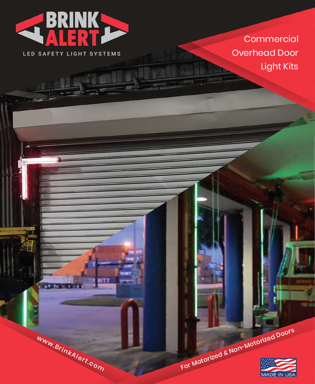

LED SAFETY LIGHT SYSTEMS

www.BrinkAlert.com

**Carl Che** 

**Commercial** Overhead Door Light Kits